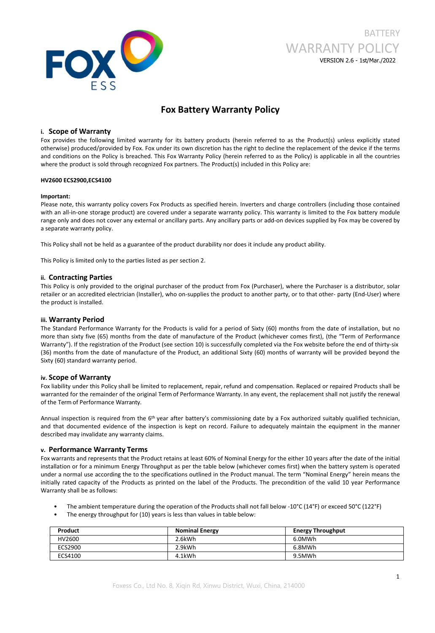

# **BATTERY** WARRANTY POLICY VERSION 2.6 - 1st/Mar./2022

## **Fox Battery Warranty Policy**

## **i. Scope of Warranty**

Fox provides the following limited warranty for its battery products (herein referred to as the Product(s) unless explicitly stated otherwise) produced/provided by Fox. Fox under its own discretion has the right to decline the replacement of the device ifthe terms and conditions on the Policy is breached. This Fox Warranty Policy (herein referred to as the Policy) is applicable in all the countries where the product is sold through recognized Fox partners. The Product(s) included in this Policy are:

#### **HV2600 ECS2900,ECS4100**

#### **Important:**

Please note, this warranty policy covers Fox Products as specified herein. Inverters and charge controllers (including those contained with an all-in-one storage product) are covered under a separate warranty policy. This warranty is limited to the Fox battery module range only and does not cover any external or ancillary parts. Any ancillary parts or add-on devices supplied by Fox may be covered by a separate warranty policy.

This Policy shall not be held as a guarantee of the product durability nor does it include any product ability.

This Policy is limited only to the parties listed as per section 2.

## **ii. Contracting Parties**

This Policy is only provided to the original purchaser of the product from Fox (Purchaser), where the Purchaser is a distributor, solar retailer or an accredited electrician (Installer), who on-supplies the product to another party, or to that other- party (End-User) where the product is installed.

## **iii. Warranty Period**

The Standard Performance Warranty for the Products is valid for a period of Sixty (60) months from the date of installation, but no more than sixty five (65) months from the date of manufacture of the Product (whichever comes first), (the "Term of Performance Warranty"). If the registration of the Product (see section 10) is successfully completed via the Fox website before the end of thirty-six (36) months from the date of manufacture of the Product, an additional Sixty (60) months of warranty will be provided beyond the Sixty (60) standard warranty period.

## **iv. Scope of Warranty**

Fox liability under this Policy shall be limited to replacement, repair, refund and compensation. Replaced or repaired Products shall be warranted for the remainder of the original Term of Performance Warranty. In any event, the replacement shall not justify the renewal of the Term of Performance Warranty.

Annual inspection is required from the 6<sup>th</sup> year after battery's commissioning date by a Fox authorized suitably qualified technician, and that documented evidence of the inspection is kept on record. Failure to adequately maintain the equipment in the manner described may invalidate any warranty claims.

## **v. Performance Warranty Terms**

Fox warrants and represents that the Product retains atleast 60% of Nominal Energy for the either 10 years after the date of the initial installation or for a minimum Energy Throughput as per the table below (whichever comes first) when the battery system is operated under a normal use according the to the specifications outlined in the Product manual. The term "Nominal Energy" herein means the initially rated capacity of the Products as printed on the label of the Products. The precondition of the valid 10 year Performance Warranty shall be as follows:

- The ambient temperature during the operation of the Products shall not fall below -10°C (14°F) or exceed 50°C (122°F)
- The energy throughput for (10) years is less than values in table below:

| Product | <b>Nominal Energy</b> | <b>Energy Throughput</b> |
|---------|-----------------------|--------------------------|
| HV2600  | 2.6kWh                | 6.0MWh                   |
| ECS2900 | 2.9kWh                | 6.8MWh                   |
| ECS4100 | 4.1kWh                | 9.5MWh                   |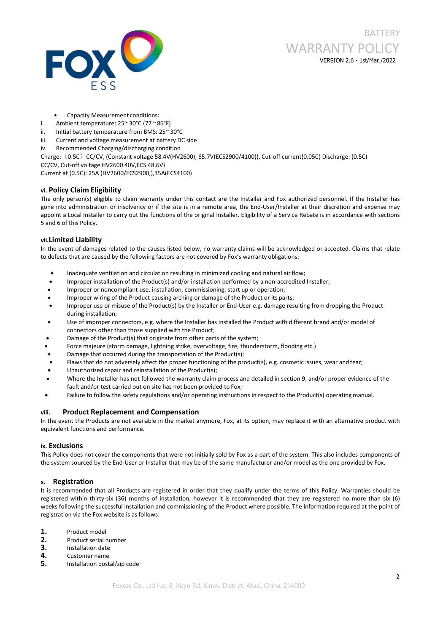

- Capacity Measurement conditions:
- i. Ambient temperature: 25~ 30°C (77 ~86°F)
- ii. Initial battery temperature from BMS: 25~ 30°C
- iii. Current and voltage measurement at battery DC side
- iv. Recommended Charging/discharging condition

Charge:(0.5C)CC/CV, (Constant voltage 58.4V(HV2600), 65.7V(ECS2900/4100)), Cut-off current(0.05C) Discharge: (0.5C) CC/CV, Cut-off voltage HV2600 40V,ECS 48.6V)

Current at (0.5C): 25A (HV2600/ECS2900,),35A(ECS4100)

## **vi. Policy Claim Eligibility**

The only person(s) eligible to claim warranty under this contact are the Installer and Fox authorized personnel. If the Installer has gone into administration or insolvency or ifthe site is in a remote area, the End-User/Installer at their discretion and expense may appoint a Local Installer to carry out the functions of the original Installer. Eligibility of a Service Rebate is in accordance with sections 5 and 6 of this Policy.

## **vii.Limited Liability**

In the event of damages related to the causes listed below, no warranty claims will be acknowledged or accepted. Claims that relate to defects that are caused by the following factors are not covered by Fox's warranty obligations:

- Inadequate ventilation and circulation resulting in minimized cooling and natural air flow;
- Improper installation of the Product(s) and/or installation performed by a non-accredited Installer;
- Improper or noncompliant use, installation, commissioning, start up or operation;
- Improper wiring of the Product causing arching or damage of the Product or its parts;
- Improper use or misuse of the Product(s) by the Installer or End-User e.g. damage resulting from dropping the Product during installation;
- Use of improper connectors, e.g. where the Installer has installed the Product with different brand and/or model of connectors other than those supplied with the Product;
- Damage of the Product(s) that originate from other parts of the system;
- Force majeure (storm damage, lightning strike, overvoltage, fire, thunderstorm, flooding etc.)
- Damage that occurred during the transportation of the Product(s);
- Flaws that do not adversely affect the proper functioning of the product(s), e.g. cosmetic issues, wear and tear;
- Unauthorized repair and reinstallation of the Product(s);
- Where the Installer has not followed the warranty claim process and detailed in section 9, and/or proper evidence of the fault and/or test carried out on site has not been provided to Fox;
- Failure to follow the safety regulations and/or operating instructions in respect to the Product(s) operating manual.

## **viii. Product Replacement and Compensation**

In the event the Products are not available in the market anymore, Fox, at its option, may replace it with an alternative product with equivalent functions and performance.

## **ix. Exclusions**

This Policy does not cover the components that were not initially sold by Fox as a part of the system. This also includes components of the system sourced by the End-User or Installer that may be of the same manufacturer and/or model as the one provided by Fox.

## **x. Registration**

It is recommended that all Products are registered in order that they qualify under the terms of this Policy. Warranties should be registered within thirty-six (36) months of installation, however it is recommended that they are registered no more than six (6) weeks following the successful installation and commissioning of the Product where possible. The information required at the point of registration via the Fox website is as follows:

- **1.** Product model
- **2.** Product serial number<br> **3.** Installation date<br> **4.** Customer name<br> **5.** Installation postal/zip code
- 
- 
-